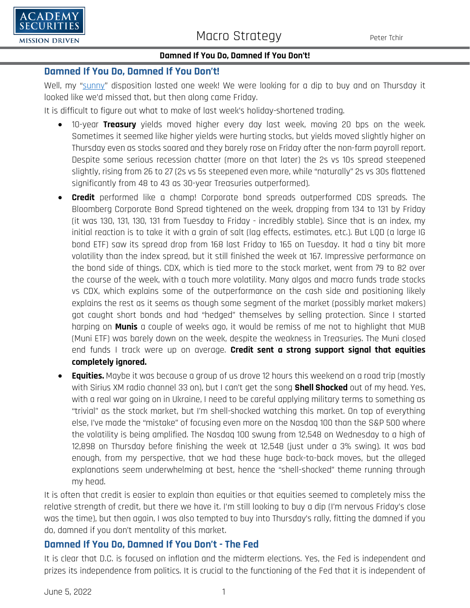

## **Damned If You Do, Damned If You Don't!**

# **Damned If You Do, Damned If You Don't!**

Well, my ["sunny"](https://www.academysecurities.com/wordpress/wp-content/uploads/2022/05/Sunshine-In-My-Pocket.pdf) disposition lasted one week! We were looking for a dip to buy and on Thursday it looked like we'd missed that, but then along came Friday.

It is difficult to figure out what to make of last week's holiday-shortened trading.

- 10-year **Treasury** yields moved higher every day last week, moving 20 bps on the week. Sometimes it seemed like higher yields were hurting stocks, but yields moved slightly higher on Thursday even as stocks soared and they barely rose on Friday after the non-farm payroll report. Despite some serious recession chatter (more on that later) the 2s vs 10s spread steepened slightly, rising from 26 to 27 (2s vs 5s steepened even more, while "naturally" 2s vs 30s flattened significantly from 48 to 43 as 30-year Treasuries outperformed).
- **Credit** performed like a champ! Corporate bond spreads outperformed CDS spreads. The Bloomberg Corporate Bond Spread tightened on the week, dropping from 134 to 131 by Friday (it was 130, 131, 130, 131 from Tuesday to Friday - incredibly stable). Since that is an index, my initial reaction is to take it with a grain of salt (lag effects, estimates, etc.). But LQD (a large IG bond ETF) saw its spread drop from 168 last Friday to 165 on Tuesday. It had a tiny bit more volatility than the index spread, but it still finished the week at 167. Impressive performance on the bond side of things. CDX, which is tied more to the stock market, went from 79 to 82 over the course of the week, with a touch more volatility. Many algos and macro funds trade stocks vs CDX, which explains some of the outperformance on the cash side and positioning likely explains the rest as it seems as though some segment of the market (possibly market makers) got caught short bonds and had "hedged" themselves by selling protection. Since I started harping on **Munis** a couple of weeks ago, it would be remiss of me not to highlight that MUB (Muni ETF) was barely down on the week, despite the weakness in Treasuries. The Muni closed end funds I track were up on average. **Credit sent a strong support signal that equities completely ignored.**
- **Equities.** Maybe it was because a group of us drove 12 hours this weekend on a road trip (mostly with Sirius XM radio channel 33 on), but I can't get the song **Shell Shocked** out of my head. Yes, with a real war going on in Ukraine, I need to be careful applying military terms to something as "trivial" as the stock market, but I'm shell-shocked watching this market. On top of everything else, I've made the "mistake" of focusing even more on the Nasdaq 100 than the S&P 500 where the volatility is being amplified. The Nasdaq 100 swung from 12,548 on Wednesday to a high of 12,898 on Thursday before finishing the week at 12,548 (just under a 3% swing). It was bad enough, from my perspective, that we had these huge back-to-back moves, but the alleged explanations seem underwhelming at best, hence the "shell-shocked" theme running through my head.

It is often that credit is easier to explain than equities or that equities seemed to completely miss the relative strength of credit, but there we have it. I'm still looking to buy a dip (I'm nervous Friday's close was the time), but then again, I was also tempted to buy into Thursday's rally, fitting the damned if you do, damned if you don't mentality of this market.

# **Damned If You Do, Damned If You Don't - The Fed**

It is clear that D.C. is focused on inflation and the midterm elections. Yes, the Fed is independent and prizes its independence from politics. It is crucial to the functioning of the Fed that it is independent of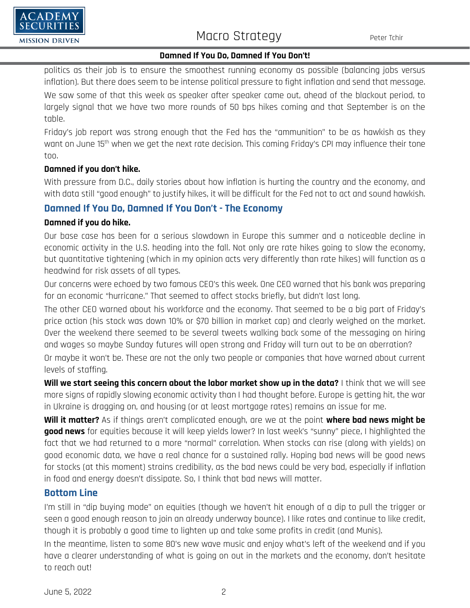

## **Damned If You Do, Damned If You Don't!**

politics as their job is to ensure the smoothest running economy as possible (balancing jobs versus inflation). But there does seem to be intense political pressure to fight inflation and send that message. We saw some of that this week as speaker after speaker came out, ahead of the blackout period, to largely signal that we have two more rounds of 50 bps hikes coming and that September is on the table.

Friday's job report was strong enough that the Fed has the "ammunition" to be as hawkish as they want on June 15th when we get the next rate decision. This coming Friday's CPI may influence their tone too.

## **Damned if you don't hike.**

'ADEMY

**MISSION DRIVEN** 

With pressure from D.C., daily stories about how inflation is hurting the country and the economy, and with data still "good enough" to justify hikes, it will be difficult for the Fed not to act and sound hawkish.

## **Damned If You Do, Damned If You Don't - The Economy**

#### **Damned if you do hike.**

Our base case has been for a serious slowdown in Europe this summer and a noticeable decline in economic activity in the U.S. heading into the fall. Not only are rate hikes going to slow the economy, but quantitative tightening (which in my opinion acts very differently than rate hikes) will function as a headwind for risk assets of all types.

Our concerns were echoed by two famous CEO's this week. One CEO warned that his bank was preparing for an economic "hurricane." That seemed to affect stocks briefly, but didn't last long.

The other CEO warned about his workforce and the economy. That seemed to be a big part of Friday's price action (his stock was down 10% or \$70 billion in market cap) and clearly weighed on the market. Over the weekend there seemed to be several tweets walking back some of the messaging on hiring and wages so maybe Sunday futures will open strong and Friday will turn out to be an aberration? Or maybe it won't be. These are not the only two people or companies that have warned about current levels of staffing.

**Will we start seeing this concern about the labor market show up in the data?** I think that we will see more signs of rapidly slowing economic activity than I had thought before. Europe is getting hit, the war in Ukraine is dragging on, and housing (or at least mortgage rates) remains an issue for me.

**Will it matter?** As if things aren't complicated enough, are we at the point **where bad news might be good news** for equities because it will keep yields lower? In last week's "sunny" piece, I highlighted the fact that we had returned to a more "normal" correlation. When stocks can rise (along with yields) on good economic data, we have a real chance for a sustained rally. Hoping bad news will be good news for stocks (at this moment) strains credibility, as the bad news could be very bad, especially if inflation in food and energy doesn't dissipate. So, I think that bad news will matter.

## **Bottom Line**

I'm still in "dip buying mode" on equities (though we haven't hit enough of a dip to pull the trigger or seen a good enough reason to join an already underway bounce). I like rates and continue to like credit, though it is probably a good time to lighten up and take some profits in credit (and Munis).

In the meantime, listen to some 80's new wave music and enjoy what's left of the weekend and if you have a clearer understanding of what is going on out in the markets and the economy, don't hesitate to reach out!